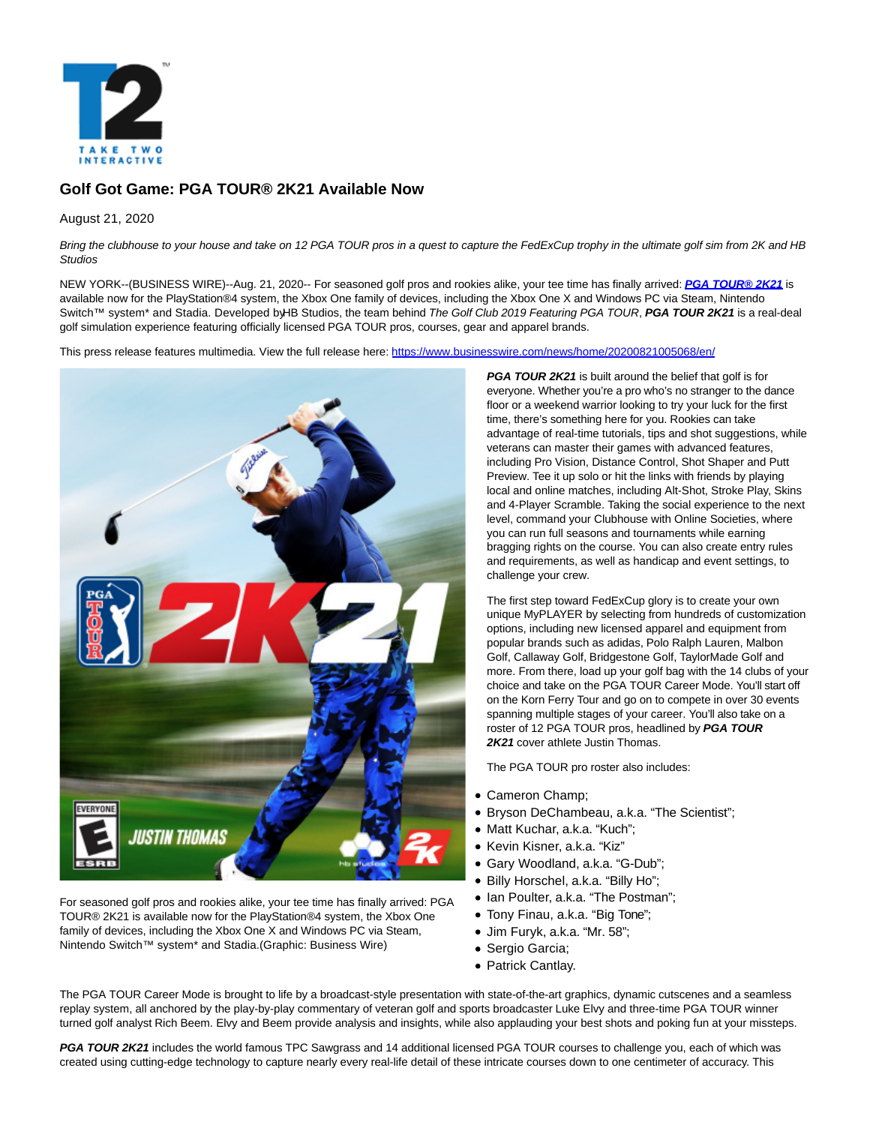

# **Golf Got Game: PGA TOUR® 2K21 Available Now**

## August 21, 2020

Bring the clubhouse to your house and take on 12 PGA TOUR pros in a quest to capture the FedExCup trophy in the ultimate golf sim from 2K and HB **Studios** 

NEW YORK--(BUSINESS WIRE)--Aug. 21, 2020-- For seasoned golf pros and rookies alike, your tee time has finally arrived: **[PGA TOUR® 2K21](https://cts.businesswire.com/ct/CT?id=smartlink&url=http%3A%2F%2Fwww.pgatour2k21.com%2F&esheet=52270356&newsitemid=20200821005068&lan=en-US&anchor=PGA+TOUR%26%23174%3B+2K21&index=1&md5=ef0325eb290bd842cbfba19d5a111e45)** is available now for the PlayStation®4 system, the Xbox One family of devices, including the Xbox One X and Windows PC via Steam, Nintendo Switch™ system\* and Stadia. Developed by HB Studios, the team behind The Golf Club 2019 Featuring PGA TOUR, PGA TOUR 2K21 is a real-deal golf simulation experience featuring officially licensed PGA TOUR pros, courses, gear and apparel brands.

This press release features multimedia. View the full release here:<https://www.businesswire.com/news/home/20200821005068/en/>



For seasoned golf pros and rookies alike, your tee time has finally arrived: PGA TOUR® 2K21 is available now for the PlayStation®4 system, the Xbox One family of devices, including the Xbox One X and Windows PC via Steam, Nintendo Switch™ system\* and Stadia.(Graphic: Business Wire)

**PGA TOUR 2K21** is built around the belief that golf is for everyone. Whether you're a pro who's no stranger to the dance floor or a weekend warrior looking to try your luck for the first time, there's something here for you. Rookies can take advantage of real-time tutorials, tips and shot suggestions, while veterans can master their games with advanced features, including Pro Vision, Distance Control, Shot Shaper and Putt Preview. Tee it up solo or hit the links with friends by playing local and online matches, including Alt-Shot, Stroke Play, Skins and 4-Player Scramble. Taking the social experience to the next level, command your Clubhouse with Online Societies, where you can run full seasons and tournaments while earning bragging rights on the course. You can also create entry rules and requirements, as well as handicap and event settings, to challenge your crew.

The first step toward FedExCup glory is to create your own unique MyPLAYER by selecting from hundreds of customization options, including new licensed apparel and equipment from popular brands such as adidas, Polo Ralph Lauren, Malbon Golf, Callaway Golf, Bridgestone Golf, TaylorMade Golf and more. From there, load up your golf bag with the 14 clubs of your choice and take on the PGA TOUR Career Mode. You'll start off on the Korn Ferry Tour and go on to compete in over 30 events spanning multiple stages of your career. You'll also take on a roster of 12 PGA TOUR pros, headlined by **PGA TOUR** 2K21 cover athlete Justin Thomas.

The PGA TOUR pro roster also includes:

- Cameron Champ;
- Bryson DeChambeau, a.k.a. "The Scientist";
- Matt Kuchar, a.k.a. "Kuch";
- Kevin Kisner, a.k.a. "Kiz"
- Gary Woodland, a.k.a. "G-Dub";
- Billy Horschel, a.k.a. "Billy Ho";
- Ian Poulter, a.k.a. "The Postman";
- Tony Finau, a.k.a. "Big Tone";
- Jim Furyk, a.k.a. "Mr. 58";
- **Sergio Garcia;**
- Patrick Cantlay.

The PGA TOUR Career Mode is brought to life by a broadcast-style presentation with state-of-the-art graphics, dynamic cutscenes and a seamless replay system, all anchored by the play-by-play commentary of veteran golf and sports broadcaster Luke Elvy and three-time PGA TOUR winner turned golf analyst Rich Beem. Elvy and Beem provide analysis and insights, while also applauding your best shots and poking fun at your missteps.

PGA TOUR 2K21 includes the world famous TPC Sawgrass and 14 additional licensed PGA TOUR courses to challenge you, each of which was created using cutting-edge technology to capture nearly every real-life detail of these intricate courses down to one centimeter of accuracy. This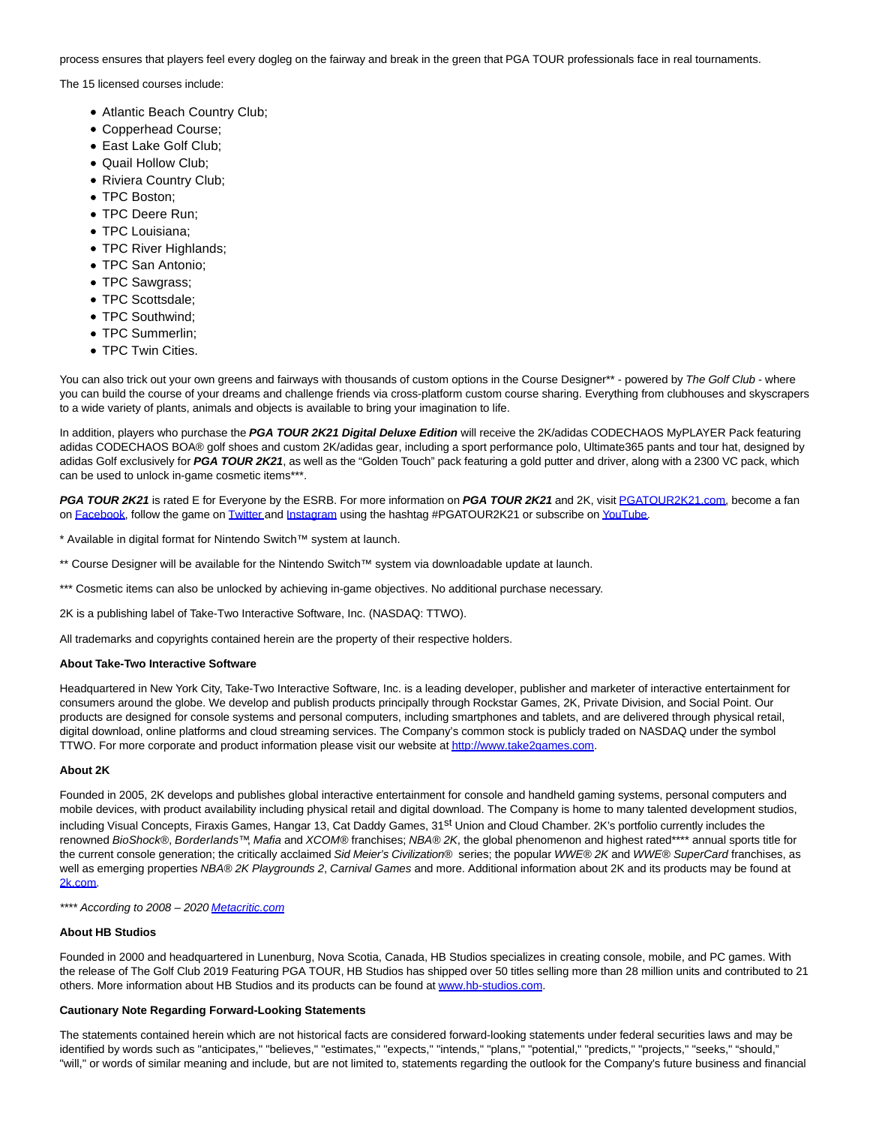process ensures that players feel every dogleg on the fairway and break in the green that PGA TOUR professionals face in real tournaments.

The 15 licensed courses include:

- Atlantic Beach Country Club;
- Copperhead Course;
- East Lake Golf Club;
- Quail Hollow Club;
- Riviera Country Club;
- TPC Boston;
- TPC Deere Run;
- TPC Louisiana;
- TPC River Highlands;
- TPC San Antonio;
- TPC Sawgrass;
- TPC Scottsdale;
- TPC Southwind:
- TPC Summerlin;
- TPC Twin Cities.

You can also trick out your own greens and fairways with thousands of custom options in the Course Designer\*\* - powered by The Golf Club - where you can build the course of your dreams and challenge friends via cross-platform custom course sharing. Everything from clubhouses and skyscrapers to a wide variety of plants, animals and objects is available to bring your imagination to life.

In addition, players who purchase the **PGA TOUR 2K21 Digital Deluxe Edition** will receive the 2K/adidas CODECHAOS MyPLAYER Pack featuring adidas CODECHAOS BOA® golf shoes and custom 2K/adidas gear, including a sport performance polo, Ultimate365 pants and tour hat, designed by adidas Golf exclusively for **PGA TOUR 2K21**, as well as the "Golden Touch" pack featuring a gold putter and driver, along with a 2300 VC pack, which can be used to unlock in-game cosmetic items\*\*\*.

**PGA TOUR 2K21** is rated E for Everyone by the ESRB. For more information on **PGA TOUR 2K21** and 2K, visit [PGATOUR2K21.com,](https://cts.businesswire.com/ct/CT?id=smartlink&url=http%3A%2F%2Fwww.pgatour2k21.com%2F&esheet=52270356&newsitemid=20200821005068&lan=en-US&anchor=PGATOUR2K21.com&index=2&md5=f8a20fa9c549541b23a6ca8c4693cbdf) become a fan on [Facebook,](https://cts.businesswire.com/ct/CT?id=smartlink&url=http%3A%2F%2Fwww.facebook.com%2Fpgatour2k&esheet=52270356&newsitemid=20200821005068&lan=en-US&anchor=Facebook&index=3&md5=b9cd66999f5bb80ba62bf70927c74fdf) follow the game on [Twitter a](https://cts.businesswire.com/ct/CT?id=smartlink&url=http%3A%2F%2Fwww.twitter.com%2Fpgatour2k&esheet=52270356&newsitemid=20200821005068&lan=en-US&anchor=Twitter&index=4&md5=c0553e9409f3cd2fdaffec6e336b2362)nd [Instagram u](https://cts.businesswire.com/ct/CT?id=smartlink&url=http%3A%2F%2Fwww.instagram.com%2Fpgatour2k&esheet=52270356&newsitemid=20200821005068&lan=en-US&anchor=Instagram&index=5&md5=d3fc9c1e73a9dd2beee109f416833fae)sing the hashtag #PGATOUR2K21 or subscribe o[n YouTube.](https://cts.businesswire.com/ct/CT?id=smartlink&url=http%3A%2F%2Fwww.youtube.com%2Fpgatour2k&esheet=52270356&newsitemid=20200821005068&lan=en-US&anchor=YouTube&index=6&md5=16b0e26c8419be62d92e7e66b8e82c96)

\* Available in digital format for Nintendo Switch™ system at launch.

\*\* Course Designer will be available for the Nintendo Switch™ system via downloadable update at launch.

\*\*\* Cosmetic items can also be unlocked by achieving in-game objectives. No additional purchase necessary.

2K is a publishing label of Take-Two Interactive Software, Inc. (NASDAQ: TTWO).

All trademarks and copyrights contained herein are the property of their respective holders.

### **About Take-Two Interactive Software**

Headquartered in New York City, Take-Two Interactive Software, Inc. is a leading developer, publisher and marketer of interactive entertainment for consumers around the globe. We develop and publish products principally through Rockstar Games, 2K, Private Division, and Social Point. Our products are designed for console systems and personal computers, including smartphones and tablets, and are delivered through physical retail, digital download, online platforms and cloud streaming services. The Company's common stock is publicly traded on NASDAQ under the symbol TTWO. For more corporate and product information please visit our website a[t http://www.take2games.com.](https://cts.businesswire.com/ct/CT?id=smartlink&url=http%3A%2F%2Fwww.take2games.com&esheet=52270356&newsitemid=20200821005068&lan=en-US&anchor=http%3A%2F%2Fwww.take2games.com&index=7&md5=3644fe77245e32b17b12ef69bce89af0)

### **About 2K**

Founded in 2005, 2K develops and publishes global interactive entertainment for console and handheld gaming systems, personal computers and mobile devices, with product availability including physical retail and digital download. The Company is home to many talented development studios, including Visual Concepts, Firaxis Games, Hangar 13, Cat Daddy Games, 31<sup>st</sup> Union and Cloud Chamber. 2K's portfolio currently includes the renowned BioShock®, Borderlands™, Mafia and XCOM® franchises; NBA® 2K, the global phenomenon and highest rated\*\*\*\* annual sports title for the current console generation; the critically acclaimed Sid Meier's Civilization® series; the popular WWE® 2K and WWE® SuperCard franchises, as well as emerging properties NBA® 2K Playgrounds 2, Carnival Games and more. Additional information about 2K and its products may be found at [2k.com.](https://cts.businesswire.com/ct/CT?id=smartlink&url=http%3A%2F%2Fwww.2k.com%2F&esheet=52270356&newsitemid=20200821005068&lan=en-US&anchor=2k.com&index=8&md5=bf86fd9407de487c331b5a833ed2e73a)

\*\*\*\* According to 2008 - 202[0 Metacritic.com](https://cts.businesswire.com/ct/CT?id=smartlink&url=https%3A%2F%2Fwww.metacritic.com%2F&esheet=52270356&newsitemid=20200821005068&lan=en-US&anchor=Metacritic.com&index=9&md5=e87fc0e624dd0d348358dadd4628f277)

### **About HB Studios**

Founded in 2000 and headquartered in Lunenburg, Nova Scotia, Canada, HB Studios specializes in creating console, mobile, and PC games. With the release of The Golf Club 2019 Featuring PGA TOUR, HB Studios has shipped over 50 titles selling more than 28 million units and contributed to 21 others. More information about HB Studios and its products can be found at [www.hb-studios.com.](https://cts.businesswire.com/ct/CT?id=smartlink&url=http%3A%2F%2Fwww.hb-studios.com&esheet=52270356&newsitemid=20200821005068&lan=en-US&anchor=www.hb-studios.com&index=10&md5=b7200b5f3317b392bdf455e6d76b9657)

### **Cautionary Note Regarding Forward-Looking Statements**

The statements contained herein which are not historical facts are considered forward-looking statements under federal securities laws and may be identified by words such as "anticipates," "believes," "estimates," "expects," "intends," "plans," "potential," "predicts," "projects," "seeks," "should," "will," or words of similar meaning and include, but are not limited to, statements regarding the outlook for the Company's future business and financial